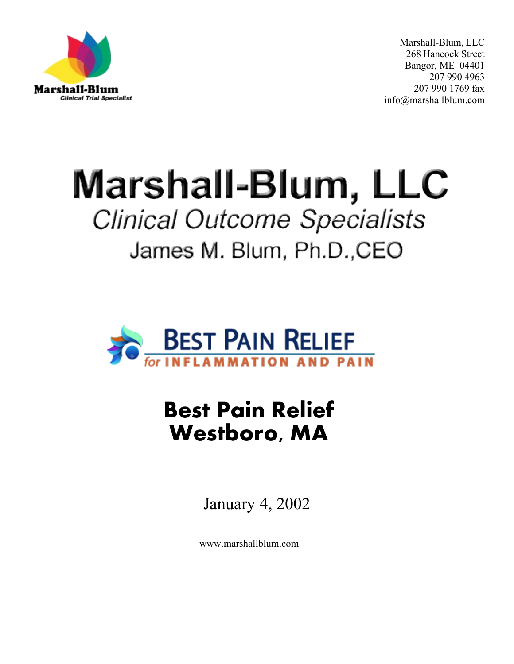

Marshall-Blum, LLC 268 Hancock Street Bangor, ME 04401 207 990 4963 207 990 1769 fax [info@marshallblum.com](mailto:info@marshallblum.com)

# Marshall-Blum, LLC **Clinical Outcome Specialists** James M. Blum, Ph.D., CEO



## **Best Pain Relief Westboro, MA**

January 4, 2002

[www.marshallblum.com](http://www.marshallblum.com/)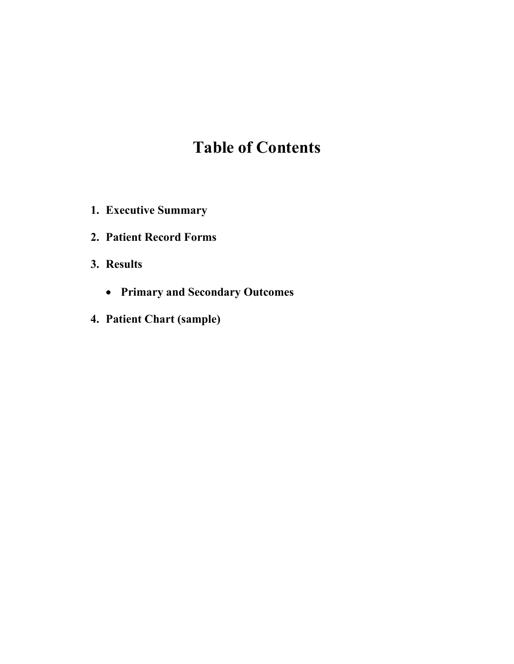## **Table of Contents**

- **1. Executive Summary**
- **2. Patient Record Forms**
- **3. Results**
	- **Primary and Secondary Outcomes**
- **4. Patient Chart (sample)**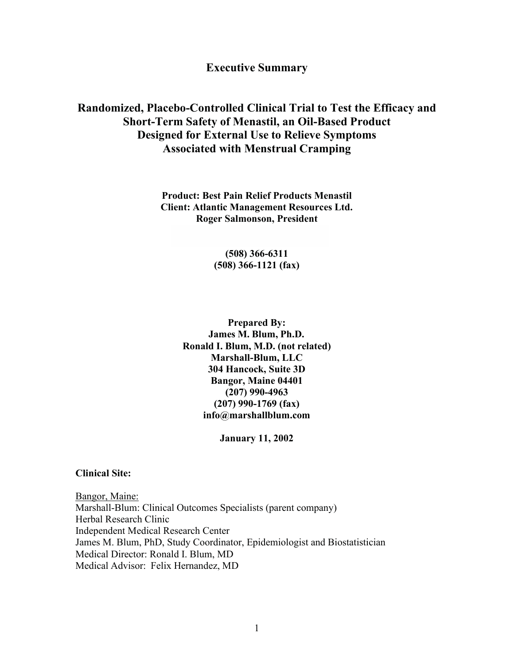**Executive Summary**

#### **Randomized, Placebo-Controlled Clinical Trial to Test the Efficacy and Short-Term Safety of Menastil, an Oil-Based Product Designed for External Use to Relieve Symptoms Associated with Menstrual Cramping**

**Product: Best Pain Relief Products Menastil Client: Atlantic Management Resources Ltd. Roger Salmonson, President** 

#### **(508) 366-6311 (508) 366-1121 (fax)**

**Prepared By: James M. Blum, Ph.D. Ronald I. Blum, M.D. (not related) Marshall-Blum, LLC 304 Hancock, Suite 3D Bangor, Maine 04401 (207) 990-4963 (207) 990-1769 (fax) [info@marshallblum.com](mailto:info@marshallblum.com)**

**January 11, 2002**

#### **Clinical Site:**

Bangor, Maine: Marshall-Blum: Clinical Outcomes Specialists (parent company) Herbal Research Clinic Independent Medical Research Center James M. Blum, PhD, Study Coordinator, Epidemiologist and Biostatistician Medical Director: Ronald I. Blum, MD Medical Advisor: Felix Hernandez, MD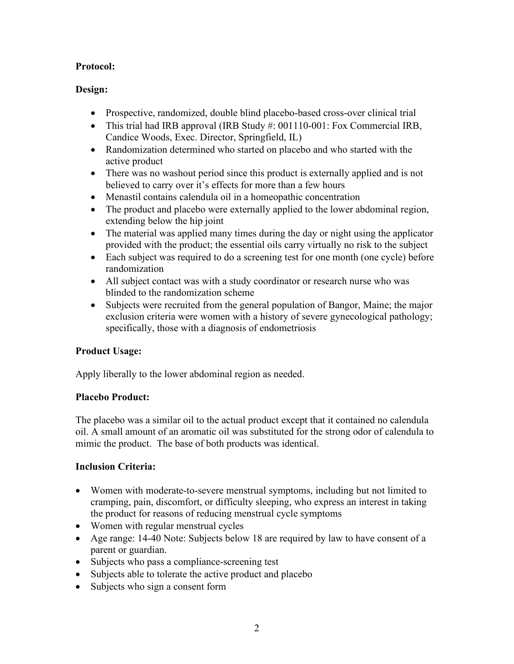#### **Protocol:**

#### **Design:**

- Prospective, randomized, double blind placebo-based cross-over clinical trial
- This trial had IRB approval (IRB Study #: 001110-001: Fox Commercial IRB, Candice Woods, Exec. Director, Springfield, IL)
- Randomization determined who started on placebo and who started with the active product
- There was no washout period since this product is externally applied and is not believed to carry over it's effects for more than a few hours
- Menastil contains calendula oil in a homeopathic concentration
- The product and placebo were externally applied to the lower abdominal region, extending below the hip joint
- The material was applied many times during the day or night using the applicator provided with the product; the essential oils carry virtually no risk to the subject
- Each subject was required to do a screening test for one month (one cycle) before randomization
- All subject contact was with a study coordinator or research nurse who was blinded to the randomization scheme
- Subjects were recruited from the general population of Bangor, Maine; the major exclusion criteria were women with a history of severe gynecological pathology; specifically, those with a diagnosis of endometriosis

#### **Product Usage:**

Apply liberally to the lower abdominal region as needed.

#### **Placebo Product:**

The placebo was a similar oil to the actual product except that it contained no calendula oil. A small amount of an aromatic oil was substituted for the strong odor of calendula to mimic the product. The base of both products was identical.

#### **Inclusion Criteria:**

- Women with moderate-to-severe menstrual symptoms, including but not limited to cramping, pain, discomfort, or difficulty sleeping, who express an interest in taking the product for reasons of reducing menstrual cycle symptoms
- Women with regular menstrual cycles
- Age range: 14-40 Note: Subjects below 18 are required by law to have consent of a parent or guardian.
- Subjects who pass a compliance-screening test
- Subjects able to tolerate the active product and placebo
- Subjects who sign a consent form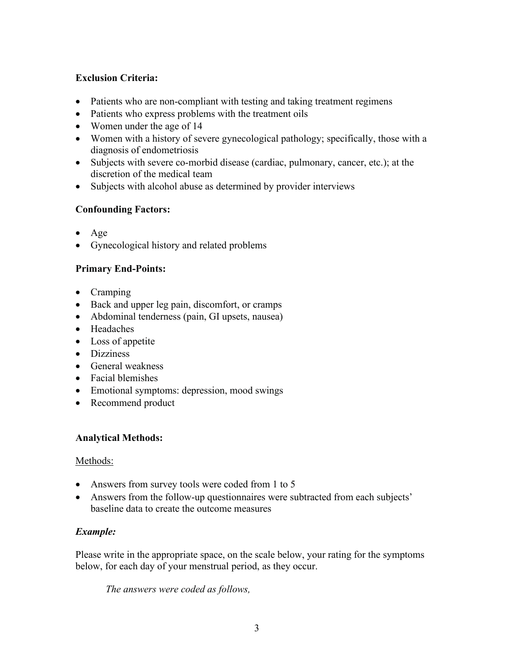#### **Exclusion Criteria:**

- Patients who are non-compliant with testing and taking treatment regimens
- Patients who express problems with the treatment oils
- Women under the age of 14
- Women with a history of severe gynecological pathology; specifically, those with a diagnosis of endometriosis
- Subjects with severe co-morbid disease (cardiac, pulmonary, cancer, etc.); at the discretion of the medical team
- Subjects with alcohol abuse as determined by provider interviews

#### **Confounding Factors:**

- Age
- Gynecological history and related problems

#### **Primary End-Points:**

- Cramping
- Back and upper leg pain, discomfort, or cramps
- Abdominal tenderness (pain, GI upsets, nausea)
- Headaches
- Loss of appetite
- Dizziness
- General weakness
- Facial blemishes
- Emotional symptoms: depression, mood swings
- Recommend product

#### **Analytical Methods:**

#### Methods:

- Answers from survey tools were coded from 1 to 5
- Answers from the follow-up questionnaires were subtracted from each subjects' baseline data to create the outcome measures

#### *Example:*

Please write in the appropriate space, on the scale below, your rating for the symptoms below, for each day of your menstrual period, as they occur.

*The answers were coded as follows,*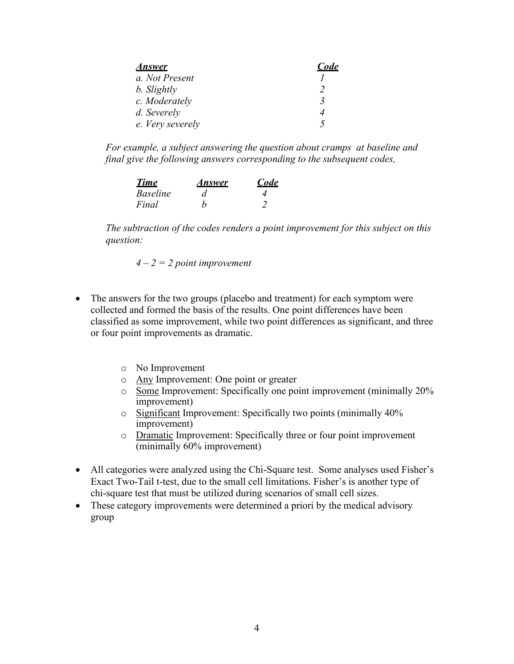| <u>Answer</u>    | Code |
|------------------|------|
| a. Not Present   |      |
| b. Slightly      |      |
| c. Moderately    |      |
| d. Severely      |      |
| e. Very severely |      |

*For example, a subject answering the question about cramps at baseline and final give the following answers corresponding to the subsequent codes,*

| <u>Time</u>     | Answer | Code |
|-----------------|--------|------|
| <i>Baseline</i> | d      |      |
| Final           |        |      |

*The subtraction of the codes renders a point improvement for this subject on this question:*

$$
4-2=2
$$
 point improvement

- The answers for the two groups (placebo and treatment) for each symptom were collected and formed the basis of the results. One point differences have been classified as some improvement, while two point differences as significant, and three or four point improvements as dramatic.
	- o No Improvement
	- o Any Improvement: One point or greater
	- o Some Improvement: Specifically one point improvement (minimally 20% improvement)
	- o Significant Improvement: Specifically two points (minimally 40% improvement)
	- o Dramatic Improvement: Specifically three or four point improvement (minimally 60% improvement)
- All categories were analyzed using the Chi-Square test. Some analyses used Fisher's Exact Two-Tail t-test, due to the small cell limitations. Fisher's is another type of chi-square test that must be utilized during scenarios of small cell sizes.
- These category improvements were determined a priori by the medical advisory group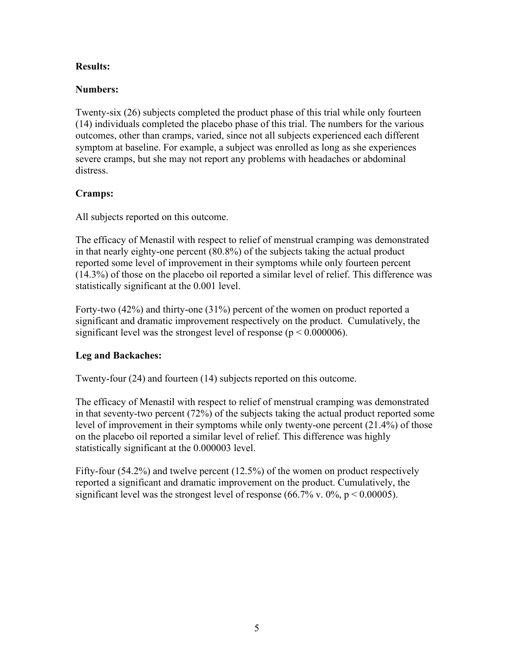#### **Results:**

#### **Numbers:**

Twenty-six (26) subjects completed the product phase of this trial while only fourteen (14) individuals completed the placebo phase of this trial. The numbers for the various outcomes, other than cramps, varied, since not all subjects experienced each different symptom at baseline. For example, a subject was enrolled as long as she experiences severe cramps, but she may not report any problems with headaches or abdominal distress.

#### **Cramps:**

All subjects reported on this outcome.

The efficacy of Menastil with respect to relief of menstrual cramping was demonstrated in that nearly eighty-one percent (80.8%) of the subjects taking the actual product reported some level of improvement in their symptoms while only fourteen percent (14.3%) of those on the placebo oil reported a similar level of relief. This difference was statistically significant at the 0.001 level.

Forty-two (42%) and thirty-one (31%) percent of the women on product reported a significant and dramatic improvement respectively on the product. Cumulatively, the significant level was the strongest level of response ( $p \le 0.000006$ ).

#### **Leg and Backaches:**

Twenty-four (24) and fourteen (14) subjects reported on this outcome.

The efficacy of Menastil with respect to relief of menstrual cramping was demonstrated in that seventy-two percent (72%) of the subjects taking the actual product reported some level of improvement in their symptoms while only twenty-one percent (21.4%) of those on the placebo oil reported a similar level of relief. This difference was highly statistically significant at the 0.000003 level.

Fifty-four (54.2%) and twelve percent (12.5%) of the women on product respectively reported a significant and dramatic improvement on the product. Cumulatively, the significant level was the strongest level of response  $(66.7\% \text{ v} \cdot 0\% \text{ p} \le 0.00005)$ .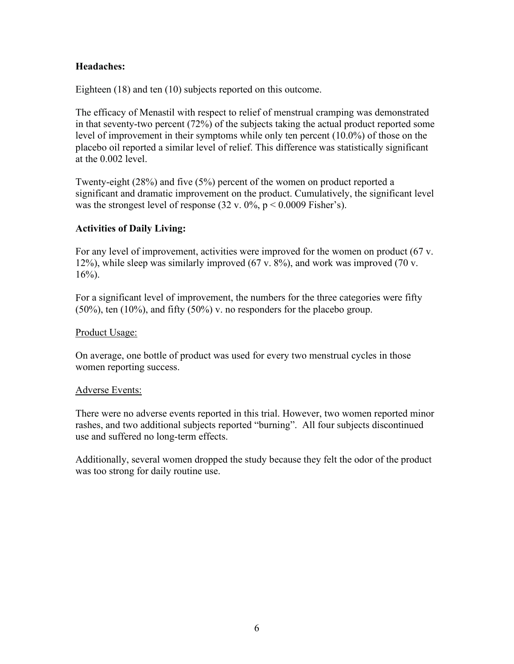#### **Headaches:**

Eighteen (18) and ten (10) subjects reported on this outcome.

The efficacy of Menastil with respect to relief of menstrual cramping was demonstrated in that seventy-two percent (72%) of the subjects taking the actual product reported some level of improvement in their symptoms while only ten percent (10.0%) of those on the placebo oil reported a similar level of relief. This difference was statistically significant at the 0.002 level.

Twenty-eight (28%) and five (5%) percent of the women on product reported a significant and dramatic improvement on the product. Cumulatively, the significant level was the strongest level of response  $(32 \text{ v. } 0\% \text{, } p \le 0.0009 \text{ Fisher's}).$ 

#### **Activities of Daily Living:**

For any level of improvement, activities were improved for the women on product (67 v. 12%), while sleep was similarly improved (67 v. 8%), and work was improved (70 v.  $16%$ ).

For a significant level of improvement, the numbers for the three categories were fifty  $(50\%)$ , ten  $(10\%)$ , and fifty  $(50\%)$  v. no responders for the placebo group.

#### Product Usage:

On average, one bottle of product was used for every two menstrual cycles in those women reporting success.

#### Adverse Events:

There were no adverse events reported in this trial. However, two women reported minor rashes, and two additional subjects reported "burning". All four subjects discontinued use and suffered no long-term effects.

Additionally, several women dropped the study because they felt the odor of the product was too strong for daily routine use.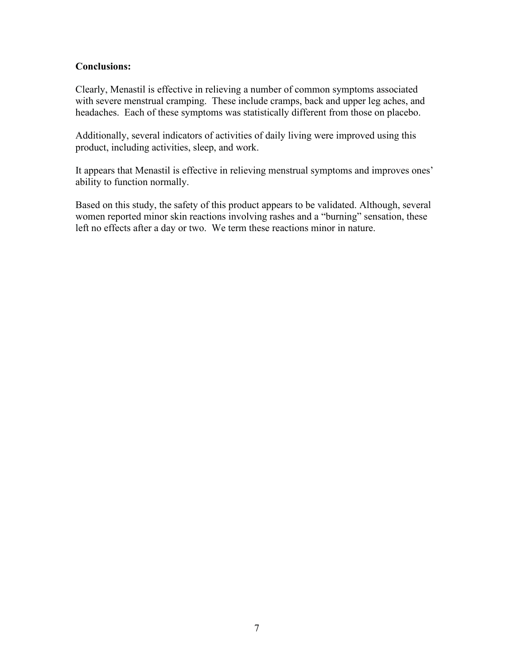#### **Conclusions:**

Clearly, Menastil is effective in relieving a number of common symptoms associated with severe menstrual cramping. These include cramps, back and upper leg aches, and headaches. Each of these symptoms was statistically different from those on placebo.

Additionally, several indicators of activities of daily living were improved using this product, including activities, sleep, and work.

It appears that Menastil is effective in relieving menstrual symptoms and improves ones' ability to function normally.

Based on this study, the safety of this product appears to be validated. Although, several women reported minor skin reactions involving rashes and a "burning" sensation, these left no effects after a day or two. We term these reactions minor in nature.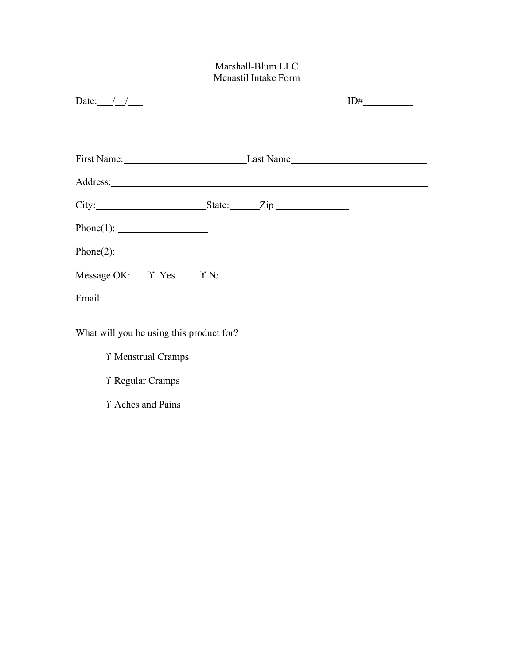#### Marshall-Blum LLC Menastil Intake Form

| Date: $\frac{1}{\sqrt{2}}$      |  | $ID#$ <sub>______________</sub> |  |  |
|---------------------------------|--|---------------------------------|--|--|
|                                 |  |                                 |  |  |
| First Name: Last Name Last Name |  |                                 |  |  |
|                                 |  |                                 |  |  |
|                                 |  |                                 |  |  |
|                                 |  |                                 |  |  |
|                                 |  |                                 |  |  |
| Message OK: Y Yes Y No          |  |                                 |  |  |
|                                 |  |                                 |  |  |
|                                 |  |                                 |  |  |

What will you be using this product for?

ϒ Menstrual Cramps

ϒ Regular Cramps

ϒ Aches and Pains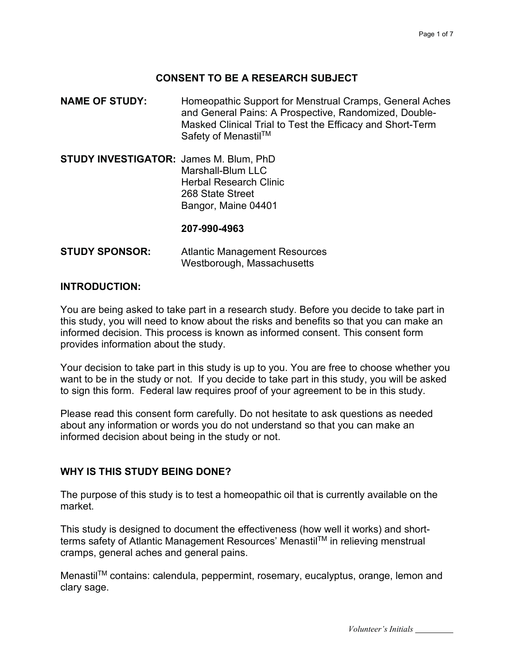#### **CONSENT TO BE A RESEARCH SUBJECT**

- **NAME OF STUDY:** Homeopathic Support for Menstrual Cramps, General Aches and General Pains: A Prospective, Randomized, Double-Masked Clinical Trial to Test the Efficacy and Short-Term Safety of Menastil™
- **STUDY INVESTIGATOR:** James M. Blum, PhD Marshall-Blum LLC Herbal Research Clinic 268 State Street Bangor, Maine 04401

#### **207-990-4963**

| <b>STUDY SPONSOR:</b> | <b>Atlantic Management Resources</b> |  |  |
|-----------------------|--------------------------------------|--|--|
|                       | Westborough, Massachusetts           |  |  |

#### **INTRODUCTION:**

You are being asked to take part in a research study. Before you decide to take part in this study, you will need to know about the risks and benefits so that you can make an informed decision. This process is known as informed consent. This consent form provides information about the study.

Your decision to take part in this study is up to you. You are free to choose whether you want to be in the study or not. If you decide to take part in this study, you will be asked to sign this form. Federal law requires proof of your agreement to be in this study.

Please read this consent form carefully. Do not hesitate to ask questions as needed about any information or words you do not understand so that you can make an informed decision about being in the study or not.

#### **WHY IS THIS STUDY BEING DONE?**

The purpose of this study is to test a homeopathic oil that is currently available on the market.

This study is designed to document the effectiveness (how well it works) and shortterms safety of Atlantic Management Resources' Menastil™ in relieving menstrual cramps, general aches and general pains.

MenastilTM contains: calendula, peppermint, rosemary, eucalyptus, orange, lemon and clary sage.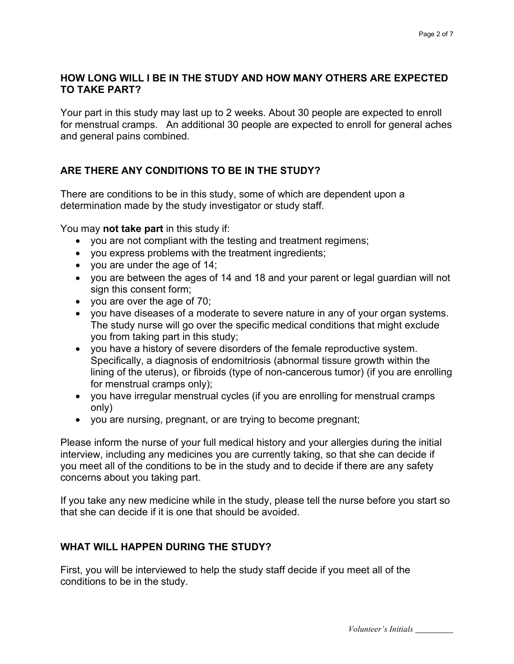#### **HOW LONG WILL I BE IN THE STUDY AND HOW MANY OTHERS ARE EXPECTED TO TAKE PART?**

Your part in this study may last up to 2 weeks. About 30 people are expected to enroll for menstrual cramps. An additional 30 people are expected to enroll for general aches and general pains combined.

#### **ARE THERE ANY CONDITIONS TO BE IN THE STUDY?**

There are conditions to be in this study, some of which are dependent upon a determination made by the study investigator or study staff.

You may **not take part** in this study if:

- you are not compliant with the testing and treatment regimens;
- you express problems with the treatment ingredients;
- you are under the age of 14;
- you are between the ages of 14 and 18 and your parent or legal guardian will not sign this consent form;
- you are over the age of 70;
- you have diseases of a moderate to severe nature in any of your organ systems. The study nurse will go over the specific medical conditions that might exclude you from taking part in this study;
- you have a history of severe disorders of the female reproductive system. Specifically, a diagnosis of endomitriosis (abnormal tissure growth within the lining of the uterus), or fibroids (type of non-cancerous tumor) (if you are enrolling for menstrual cramps only);
- you have irregular menstrual cycles (if you are enrolling for menstrual cramps only)
- you are nursing, pregnant, or are trying to become pregnant;

Please inform the nurse of your full medical history and your allergies during the initial interview, including any medicines you are currently taking, so that she can decide if you meet all of the conditions to be in the study and to decide if there are any safety concerns about you taking part.

If you take any new medicine while in the study, please tell the nurse before you start so that she can decide if it is one that should be avoided.

#### **WHAT WILL HAPPEN DURING THE STUDY?**

First, you will be interviewed to help the study staff decide if you meet all of the conditions to be in the study.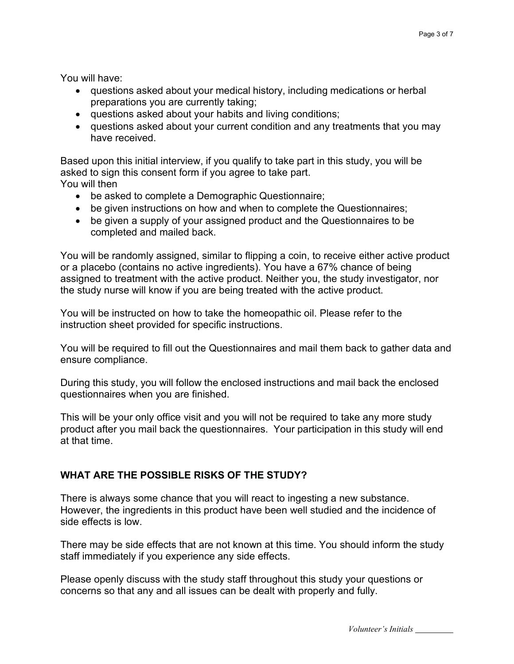You will have:

- questions asked about your medical history, including medications or herbal preparations you are currently taking;
- questions asked about your habits and living conditions;
- questions asked about your current condition and any treatments that you may have received.

Based upon this initial interview, if you qualify to take part in this study, you will be asked to sign this consent form if you agree to take part. You will then

- be asked to complete a Demographic Questionnaire;
- be given instructions on how and when to complete the Questionnaires;
- be given a supply of your assigned product and the Questionnaires to be completed and mailed back.

You will be randomly assigned, similar to flipping a coin, to receive either active product or a placebo (contains no active ingredients). You have a 67% chance of being assigned to treatment with the active product. Neither you, the study investigator, nor the study nurse will know if you are being treated with the active product.

You will be instructed on how to take the homeopathic oil. Please refer to the instruction sheet provided for specific instructions.

You will be required to fill out the Questionnaires and mail them back to gather data and ensure compliance.

During this study, you will follow the enclosed instructions and mail back the enclosed questionnaires when you are finished.

This will be your only office visit and you will not be required to take any more study product after you mail back the questionnaires. Your participation in this study will end at that time.

#### **WHAT ARE THE POSSIBLE RISKS OF THE STUDY?**

There is always some chance that you will react to ingesting a new substance. However, the ingredients in this product have been well studied and the incidence of side effects is low.

There may be side effects that are not known at this time. You should inform the study staff immediately if you experience any side effects.

Please openly discuss with the study staff throughout this study your questions or concerns so that any and all issues can be dealt with properly and fully.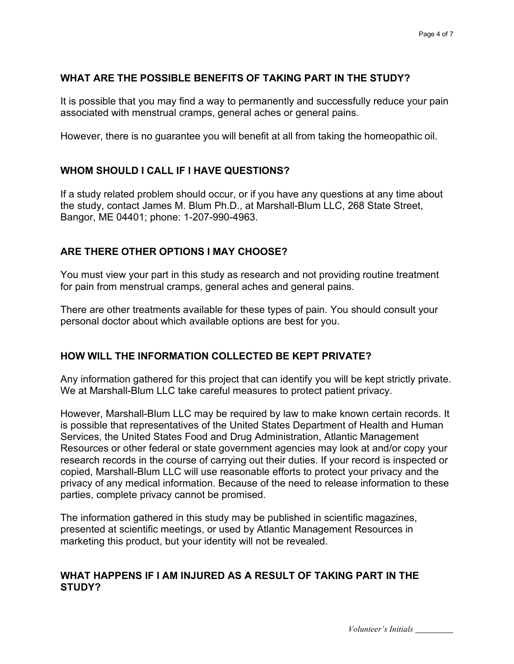#### **WHAT ARE THE POSSIBLE BENEFITS OF TAKING PART IN THE STUDY?**

It is possible that you may find a way to permanently and successfully reduce your pain associated with menstrual cramps, general aches or general pains.

However, there is no guarantee you will benefit at all from taking the homeopathic oil.

#### **WHOM SHOULD I CALL IF I HAVE QUESTIONS?**

If a study related problem should occur, or if you have any questions at any time about the study, contact James M. Blum Ph.D., at Marshall-Blum LLC, 268 State Street, Bangor, ME 04401; phone: 1-207-990-4963.

#### **ARE THERE OTHER OPTIONS I MAY CHOOSE?**

You must view your part in this study as research and not providing routine treatment for pain from menstrual cramps, general aches and general pains.

There are other treatments available for these types of pain. You should consult your personal doctor about which available options are best for you.

#### **HOW WILL THE INFORMATION COLLECTED BE KEPT PRIVATE?**

Any information gathered for this project that can identify you will be kept strictly private. We at Marshall-Blum LLC take careful measures to protect patient privacy.

However, Marshall-Blum LLC may be required by law to make known certain records. It is possible that representatives of the United States Department of Health and Human Services, the United States Food and Drug Administration, Atlantic Management Resources or other federal or state government agencies may look at and/or copy your research records in the course of carrying out their duties. If your record is inspected or copied, Marshall-Blum LLC will use reasonable efforts to protect your privacy and the privacy of any medical information. Because of the need to release information to these parties, complete privacy cannot be promised.

The information gathered in this study may be published in scientific magazines, presented at scientific meetings, or used by Atlantic Management Resources in marketing this product, but your identity will not be revealed.

#### **WHAT HAPPENS IF I AM INJURED AS A RESULT OF TAKING PART IN THE STUDY?**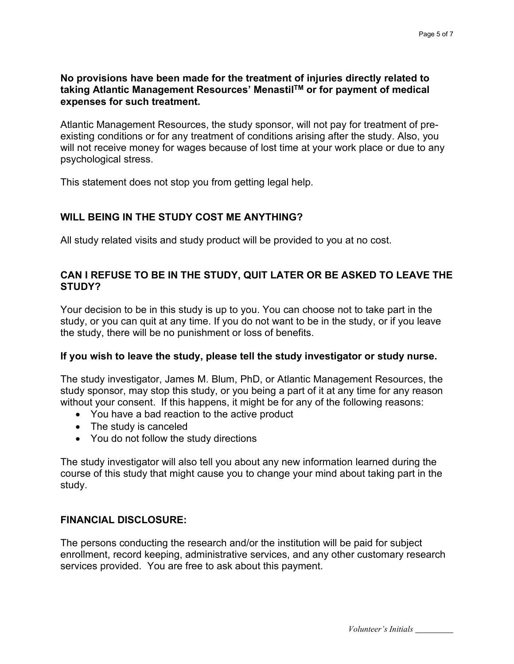#### **No provisions have been made for the treatment of injuries directly related to taking Atlantic Management Resources' MenastilTM or for payment of medical expenses for such treatment.**

Atlantic Management Resources, the study sponsor, will not pay for treatment of preexisting conditions or for any treatment of conditions arising after the study. Also, you will not receive money for wages because of lost time at your work place or due to any psychological stress.

This statement does not stop you from getting legal help.

#### **WILL BEING IN THE STUDY COST ME ANYTHING?**

All study related visits and study product will be provided to you at no cost.

#### **CAN I REFUSE TO BE IN THE STUDY, QUIT LATER OR BE ASKED TO LEAVE THE STUDY?**

Your decision to be in this study is up to you. You can choose not to take part in the study, or you can quit at any time. If you do not want to be in the study, or if you leave the study, there will be no punishment or loss of benefits.

#### **If you wish to leave the study, please tell the study investigator or study nurse.**

The study investigator, James M. Blum, PhD, or Atlantic Management Resources, the study sponsor, may stop this study, or you being a part of it at any time for any reason without your consent. If this happens, it might be for any of the following reasons:

- You have a bad reaction to the active product
- The study is canceled
- You do not follow the study directions

The study investigator will also tell you about any new information learned during the course of this study that might cause you to change your mind about taking part in the study.

#### **FINANCIAL DISCLOSURE:**

The persons conducting the research and/or the institution will be paid for subject enrollment, record keeping, administrative services, and any other customary research services provided. You are free to ask about this payment.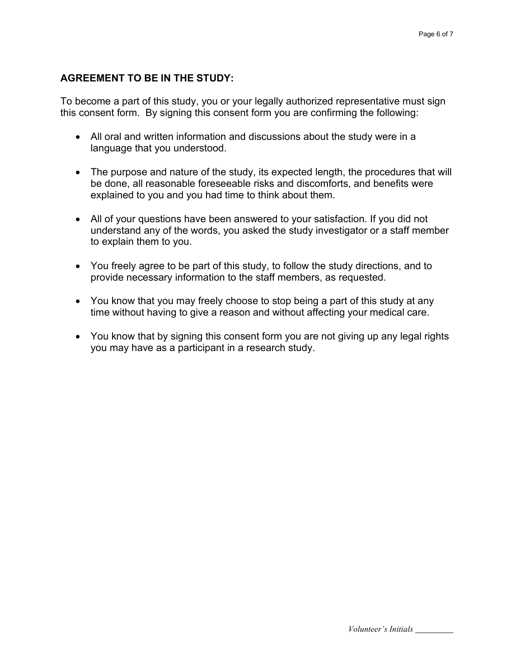#### **AGREEMENT TO BE IN THE STUDY:**

To become a part of this study, you or your legally authorized representative must sign this consent form. By signing this consent form you are confirming the following:

- All oral and written information and discussions about the study were in a language that you understood.
- The purpose and nature of the study, its expected length, the procedures that will be done, all reasonable foreseeable risks and discomforts, and benefits were explained to you and you had time to think about them.
- All of your questions have been answered to your satisfaction. If you did not understand any of the words, you asked the study investigator or a staff member to explain them to you.
- You freely agree to be part of this study, to follow the study directions, and to provide necessary information to the staff members, as requested.
- You know that you may freely choose to stop being a part of this study at any time without having to give a reason and without affecting your medical care.
- You know that by signing this consent form you are not giving up any legal rights you may have as a participant in a research study.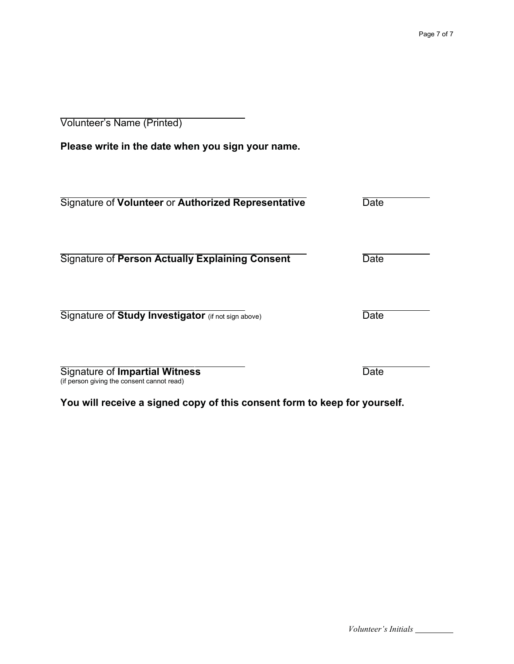Volunteer's Name (Printed)

**Please write in the date when you sign your name.**

| Signature of Volunteer or Authorized Representative                          | Date |
|------------------------------------------------------------------------------|------|
| <b>Signature of Person Actually Explaining Consent</b>                       | Date |
| Signature of Study Investigator (if not sign above)                          | Date |
| Signature of Impartial Witness<br>(if person giving the consent cannot read) | Date |

**You will receive a signed copy of this consent form to keep for yourself.**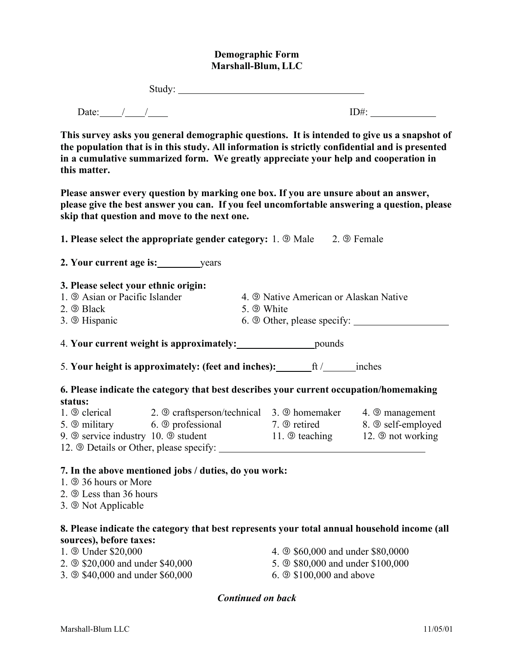#### **Demographic Form Marshall-Blum, LLC**

| $- - - - -$ |  |
|-------------|--|
|             |  |

Date: / / / ID#:

**This survey asks you general demographic questions. It is intended to give us a snapshot of the population that is in this study. All information is strictly confidential and is presented in a cumulative summarized form. We greatly appreciate your help and cooperation in this matter.**

**Please answer every question by marking one box. If you are unsure about an answer, please give the best answer you can. If you feel uncomfortable answering a question, please skip that question and move to the next one.**

**1. Please select the appropriate gender category:** 1.  $\circledcirc$  Male 2.  $\circledcirc$  Female **2. Your current age is:** years **3. Please select your ethnic origin:** 1.  $\circled{A}$  Asian or Pacific Islander 4.  $\circled{A}$  Native American or Alaskan Native 2.  $\circledcirc$  Black 5.  $\circledcirc$  White 3.  $\circled{}$  Hispanic 6.  $\circled{}$  Other, please specify: 4. **Your current weight is approximately:** pounds 5. **Your height is approximately: (feet and inches):** ft / inches **6. Please indicate the category that best describes your current occupation/homemaking status:** 1.  $\circledcirc$  clerical 2.  $\circledcirc$  craftsperson/technical 3.  $\circledcirc$  homemaker 4.  $\circledcirc$  management 5. 9 military 6. 9 professional 7. 9 retired 8. 9 self-employed 9. 9 service industry 10. 9 student 11. 9 teaching 12. 9 not working 12. **9 Details or Other, please specify:** 

#### **7. In the above mentioned jobs / duties, do you work:**

- 1. **9.36 hours or More**
- 2. **9 Less than 36 hours**
- 3. **9 Not Applicable**

#### **8. Please indicate the category that best represents your total annual household income (all sources), before taxes:**

- 1.  $\circledcirc$  Under \$20,000 0 4.  $\circledcirc$  \$60,000 and under \$80,0000 2.  $\circ$  \$20,000 and under \$40,000 5.  $\circ$  \$80,000 and under \$100,000 3.  $\circ$  \$40,000 and under \$60,000 6.  $\circ$  \$100,000 and above
	-
	- *Continued on back*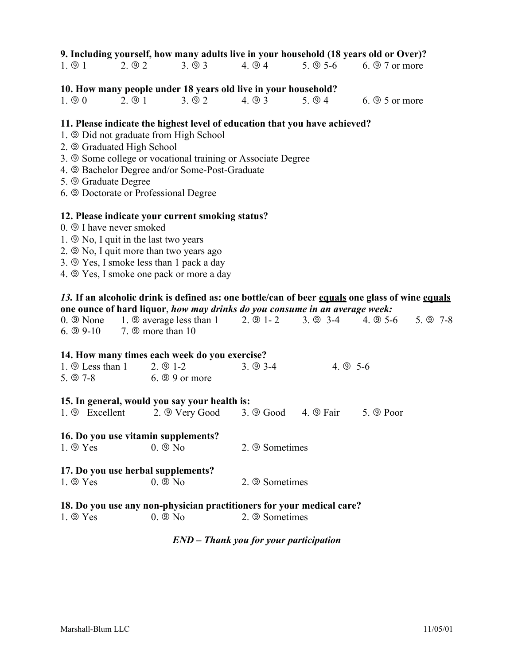| 1.⑤1 | 2.②2 | 3.093 | $4. \circledcirc 4$ | 5. $@$ 5-6 | $6. \circledcirc 7$ or more |
|------|------|-------|---------------------|------------|-----------------------------|
|------|------|-------|---------------------|------------|-----------------------------|

#### **10. How many people under 18 years old live in your household?**

 $1. \circledcirc 0$  2.  $\circledcirc 1$  3.  $\circledcirc 2$  4.  $\circledcirc 3$  5.  $\circledcirc 4$  6.  $\circledcirc 5$  or more

#### **11. Please indicate the highest level of education that you have achieved?**

- 1. **9 Did not graduate from High School**
- 2. Graduated High School
- 3. **9 Some college or vocational training or Associate Degree**
- 4. **9 Bachelor Degree and/or Some-Post-Graduate**
- 5. Graduate Degree
- 6. Doctorate or Professional Degree

#### **12. Please indicate your current smoking status?**

- $0.$   $\circled{}$  I have never smoked
- 1.  $\circledcirc$  No, I quit in the last two years
- 2.  $\circledcirc$  No, I quit more than two years ago
- 3.  $\circled{9}$  Yes, I smoke less than 1 pack a day
- 4.  $\circled{9}$  Yes, I smoke one pack or more a day

#### *13.* **If an alcoholic drink is defined as: one bottle/can of beer equals one glass of wine equals one ounce of hard liquor**, *how may drinks do you consume in an average week:*

| 0. 9 None 1. 9 average less than 1 2. 9 1-2 3. 9 3-4 4. 9 5-6 5. 9 7-8 |  |  |
|------------------------------------------------------------------------|--|--|
| 6. $\circledcirc$ 9-10 7. $\circledcirc$ more than 10                  |  |  |

#### **14. How many times each week do you exercise?**

| 1. $\circledcirc$ Less than 1 | 2. 9 1-2                    | $3. \circled{9}$ 3-4 | 4. $\circled{9}$ 5-6 |
|-------------------------------|-----------------------------|----------------------|----------------------|
| $5. \circledcirc 7-8$         | $6. \circledcirc$ 9 or more |                      |                      |

#### **15. In general, would you say your health is:**

|  | 1. 9 Excellent | 2. <b>Wery Good</b> | $3. \circledcirc$ Good | $4. \circledcirc$ Fair | 5. <b>9 Poor</b> |
|--|----------------|---------------------|------------------------|------------------------|------------------|
|--|----------------|---------------------|------------------------|------------------------|------------------|

#### **16. Do you use vitamin supplements?**

 $1. \circledcirc$  Yes  $0. \circledcirc$  No  $2. \circledcirc$  Sometimes

### **17. Do** you use herbal supplements?<br>**1. 9** Yes **0. 9** No

 $1. \circledcirc$  No 2.  $\circledcirc$  Sometimes

#### **18. Do you use any non-physician practitioners for your medical care?**

 $1. \circledcirc$  Yes  $0. \circledcirc$  No  $2. \circledcirc$  Sometimes

#### *END – Thank you for your participation*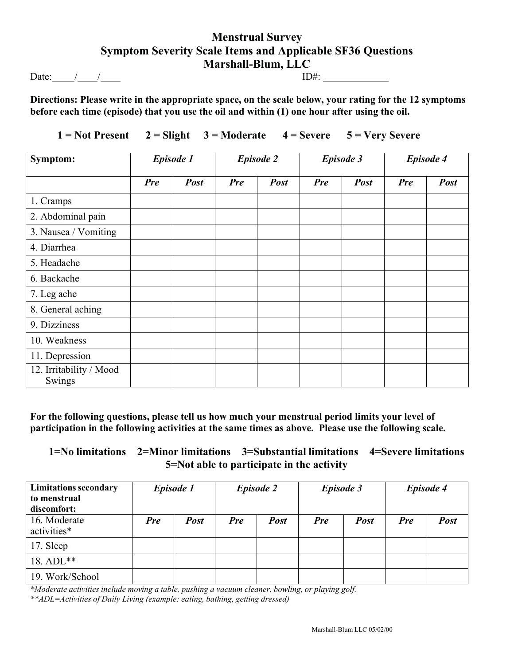#### **Menstrual Survey Symptom Severity Scale Items and Applicable SF36 Questions Marshall-Blum, LLC**

Date: / / ID#:

**Directions: Please write in the appropriate space, on the scale below, your rating for the 12 symptoms before each time (episode) that you use the oil and within (1) one hour after using the oil.**

 $1 = Not Present$   $2 = Slight$   $3 = Moderate$   $4 = Severe$   $5 = Very Severe$ 

| Symptom:                          | <b>Episode 1</b> |             |            | <b>Episode 2</b> | <b>Episode 3</b> |             | <b>Episode 4</b> |             |
|-----------------------------------|------------------|-------------|------------|------------------|------------------|-------------|------------------|-------------|
|                                   | <b>Pre</b>       | <b>Post</b> | <b>Pre</b> | <b>Post</b>      | <b>Pre</b>       | <b>Post</b> | <b>Pre</b>       | <b>Post</b> |
| 1. Cramps                         |                  |             |            |                  |                  |             |                  |             |
| 2. Abdominal pain                 |                  |             |            |                  |                  |             |                  |             |
| 3. Nausea / Vomiting              |                  |             |            |                  |                  |             |                  |             |
| 4. Diarrhea                       |                  |             |            |                  |                  |             |                  |             |
| 5. Headache                       |                  |             |            |                  |                  |             |                  |             |
| 6. Backache                       |                  |             |            |                  |                  |             |                  |             |
| 7. Leg ache                       |                  |             |            |                  |                  |             |                  |             |
| 8. General aching                 |                  |             |            |                  |                  |             |                  |             |
| 9. Dizziness                      |                  |             |            |                  |                  |             |                  |             |
| 10. Weakness                      |                  |             |            |                  |                  |             |                  |             |
| 11. Depression                    |                  |             |            |                  |                  |             |                  |             |
| 12. Irritability / Mood<br>Swings |                  |             |            |                  |                  |             |                  |             |

**For the following questions, please tell us how much your menstrual period limits your level of participation in the following activities at the same times as above. Please use the following scale.**

|  |  | $1 = No$ limitations $2 = Minor$ limitations $3 = Substantial$ limitations $4 = Severe$ limitations |  |
|--|--|-----------------------------------------------------------------------------------------------------|--|
|  |  |                                                                                                     |  |

| <b>Limitations secondary</b><br>to menstrual<br>discomfort: |            | Episode 1   |            | <b>Episode 2</b> | <b>Episode 3</b> |             |            | <b>Episode 4</b> |
|-------------------------------------------------------------|------------|-------------|------------|------------------|------------------|-------------|------------|------------------|
| 16. Moderate<br>activities*                                 | <b>Pre</b> | <b>Post</b> | <b>Pre</b> | <b>Post</b>      | <b>Pre</b>       | <b>Post</b> | <b>Pre</b> | <b>Post</b>      |
| 17. Sleep                                                   |            |             |            |                  |                  |             |            |                  |
| 18. ADL**                                                   |            |             |            |                  |                  |             |            |                  |
| 19. Work/School                                             |            |             |            |                  |                  |             |            |                  |

*\*Moderate activities include moving a table, pushing a vacuum cleaner, bowling, or playing golf.*

*\*\*ADL=Activities of Daily Living (example: eating, bathing, getting dressed)*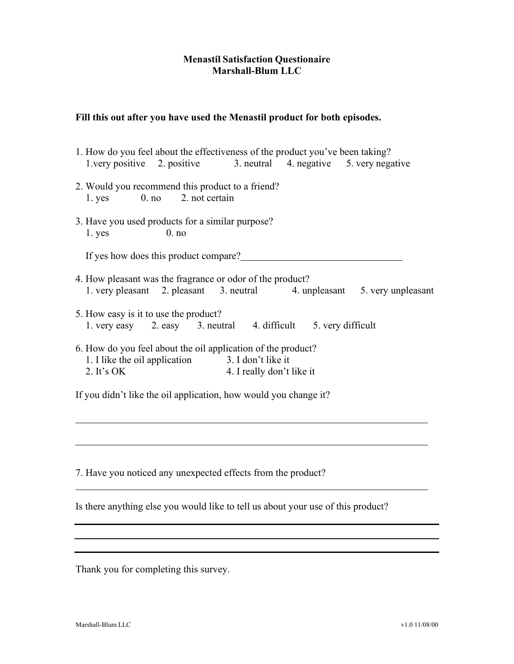#### **Menastil Satisfaction Questionaire Marshall-Blum LLC**

#### **Fill this out after you have used the Menastil product for both episodes.**

| 1. How do you feel about the effectiveness of the product you've been taking?                                                                                                    |
|----------------------------------------------------------------------------------------------------------------------------------------------------------------------------------|
| 1. very positive 2. positive 3. neutral 4. negative 5. very negative                                                                                                             |
| 2. Would you recommend this product to a friend?<br>1. yes 0. no 2. not certain                                                                                                  |
| 3. Have you used products for a similar purpose?                                                                                                                                 |
| 0. no<br>1. yes                                                                                                                                                                  |
|                                                                                                                                                                                  |
| If yes how does this product compare?                                                                                                                                            |
| 4. How pleasant was the fragrance or odor of the product?<br>1. very pleasant 2. pleasant 3. neutral 4. unpleasant 5. very unpleasant                                            |
| 5. How easy is it to use the product?                                                                                                                                            |
| 1. very easy 2. easy 3. neutral 4. difficult 5. very difficult                                                                                                                   |
| 6. How do you feel about the oil application of the product?<br>1. I like the oil application 3. I don't like it<br>$\overline{11}$<br>2. It's $OK$<br>4. I really don't like it |
|                                                                                                                                                                                  |

If you didn't like the oil application, how would you change it?

7. Have you noticed any unexpected effects from the product?

Is there anything else you would like to tell us about your use of this product?

Thank you for completing this survey.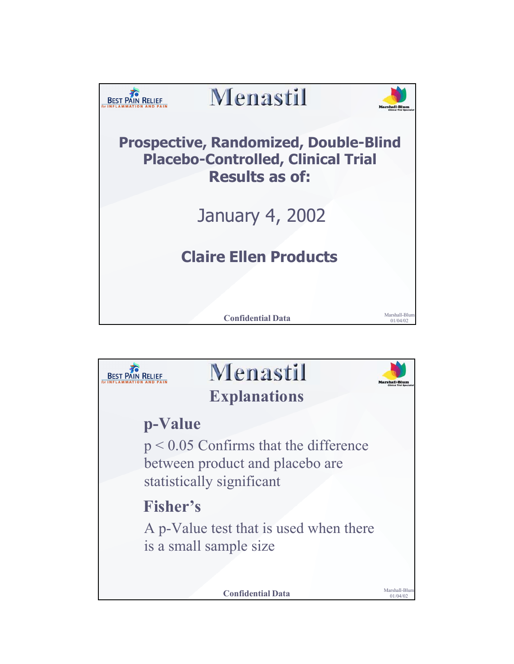

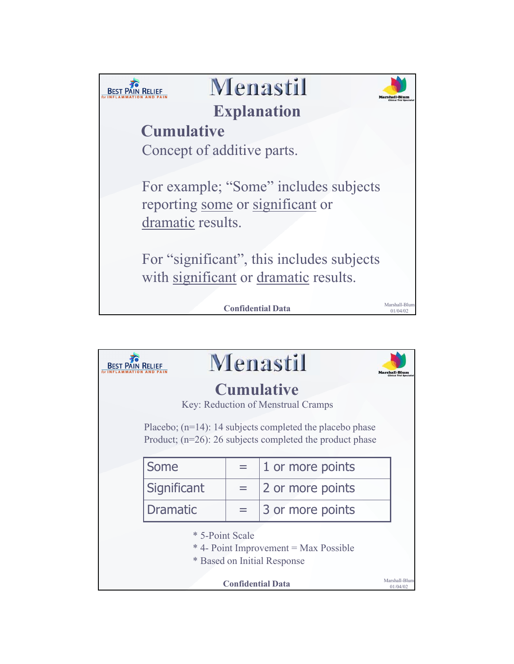

|                                                                                                                            | Menastil        |                          |                  |                           |  |  |  |  |
|----------------------------------------------------------------------------------------------------------------------------|-----------------|--------------------------|------------------|---------------------------|--|--|--|--|
| <b>Cumulative</b><br>Key: Reduction of Menstrual Cramps                                                                    |                 |                          |                  |                           |  |  |  |  |
| Placebo; $(n=14)$ : 14 subjects completed the placebo phase<br>Product; $(n=26)$ : 26 subjects completed the product phase |                 |                          |                  |                           |  |  |  |  |
|                                                                                                                            | Some            |                          | 1 or more points |                           |  |  |  |  |
|                                                                                                                            | Significant     |                          | 2 or more points |                           |  |  |  |  |
|                                                                                                                            | <b>Dramatic</b> |                          | 3 or more points |                           |  |  |  |  |
| * 5-Point Scale<br>* 4- Point Improvement = Max Possible<br>* Based on Initial Response                                    |                 |                          |                  |                           |  |  |  |  |
|                                                                                                                            |                 | <b>Confidential Data</b> |                  | Marshall-Blum<br>01/04/02 |  |  |  |  |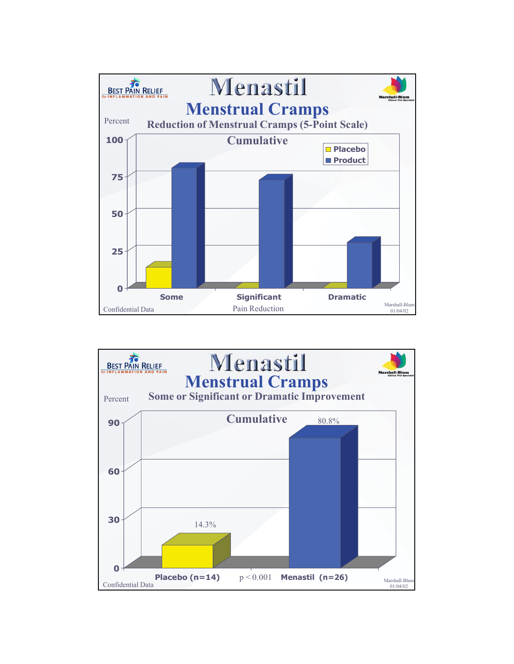

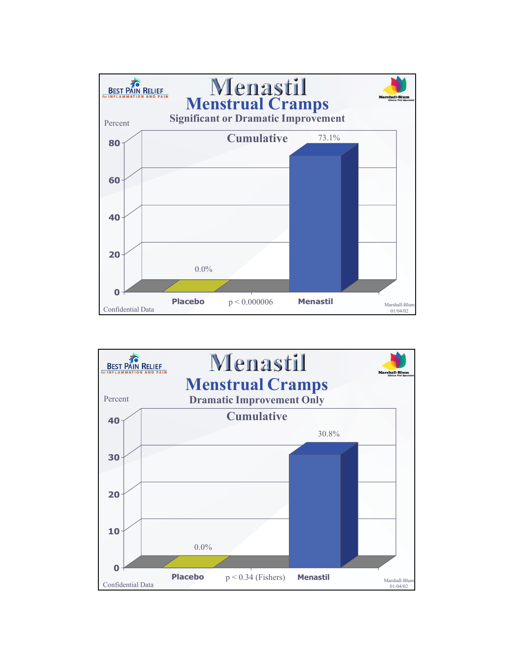

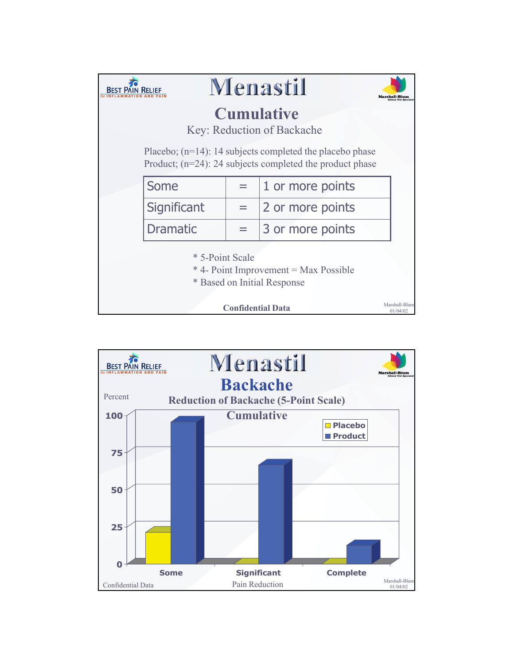|                                                 |                 |                          | Menastil                                                                                                                   |                           |  |  |  |  |
|-------------------------------------------------|-----------------|--------------------------|----------------------------------------------------------------------------------------------------------------------------|---------------------------|--|--|--|--|
| <b>Cumulative</b><br>Key: Reduction of Backache |                 |                          |                                                                                                                            |                           |  |  |  |  |
|                                                 |                 |                          | Placebo; $(n=14)$ : 14 subjects completed the placebo phase<br>Product; $(n=24)$ : 24 subjects completed the product phase |                           |  |  |  |  |
|                                                 | Some            |                          | 1 or more points                                                                                                           |                           |  |  |  |  |
|                                                 | Significant     |                          | 2 or more points                                                                                                           |                           |  |  |  |  |
|                                                 | <b>Dramatic</b> |                          | 3 or more points                                                                                                           |                           |  |  |  |  |
|                                                 | * 5-Point Scale |                          | * 4- Point Improvement = Max Possible<br>* Based on Initial Response                                                       |                           |  |  |  |  |
|                                                 |                 | <b>Confidential Data</b> |                                                                                                                            | Marshall-Blum<br>01/04/02 |  |  |  |  |

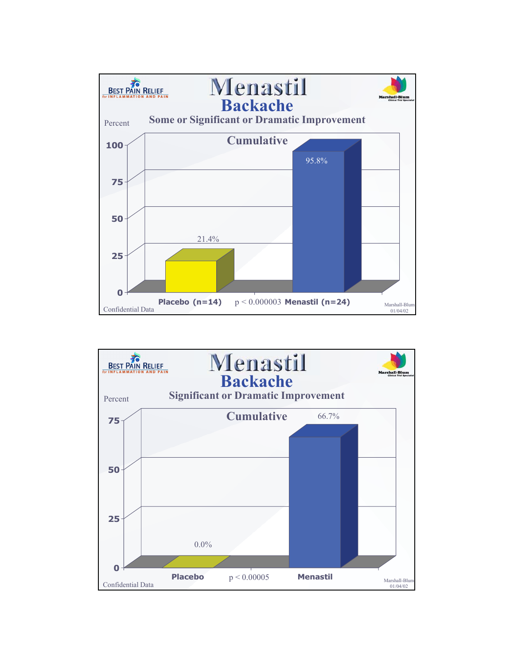

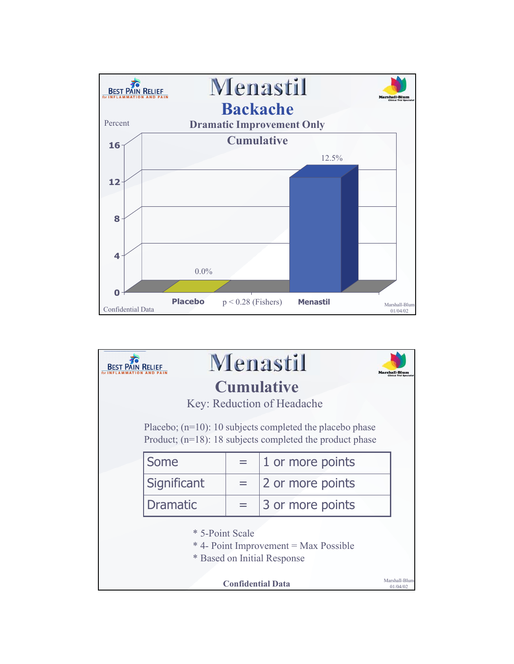

|                                                                                         | Menastil        |                          |                                                                                                                            |                           |  |  |  |  |
|-----------------------------------------------------------------------------------------|-----------------|--------------------------|----------------------------------------------------------------------------------------------------------------------------|---------------------------|--|--|--|--|
|                                                                                         |                 |                          | <b>Cumulative</b>                                                                                                          |                           |  |  |  |  |
| Key: Reduction of Headache                                                              |                 |                          |                                                                                                                            |                           |  |  |  |  |
|                                                                                         |                 |                          | Placebo; $(n=10)$ : 10 subjects completed the placebo phase<br>Product; $(n=18)$ : 18 subjects completed the product phase |                           |  |  |  |  |
|                                                                                         | Some            |                          | 1 or more points                                                                                                           |                           |  |  |  |  |
|                                                                                         | Significant     |                          | 2 or more points                                                                                                           |                           |  |  |  |  |
|                                                                                         | <b>Dramatic</b> |                          | 3 or more points                                                                                                           |                           |  |  |  |  |
| * 5-Point Scale<br>* 4- Point Improvement = Max Possible<br>* Based on Initial Response |                 |                          |                                                                                                                            |                           |  |  |  |  |
|                                                                                         |                 | <b>Confidential Data</b> |                                                                                                                            | Marshall-Blum<br>01/04/02 |  |  |  |  |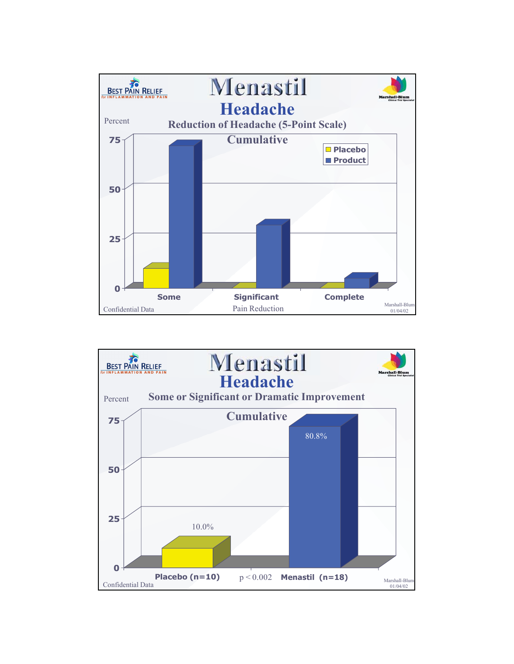

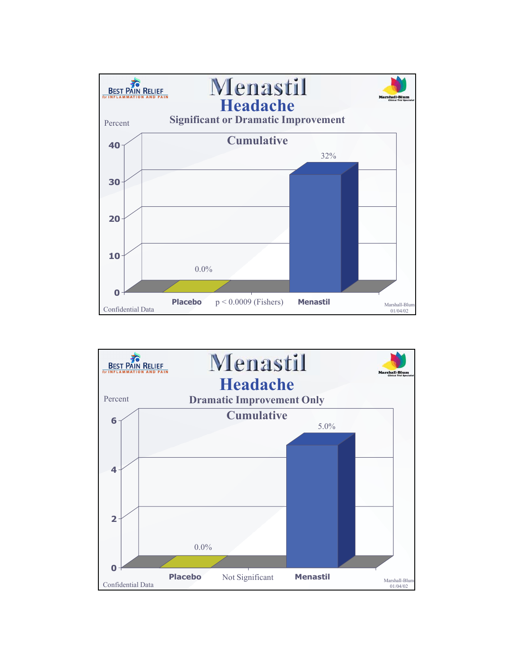

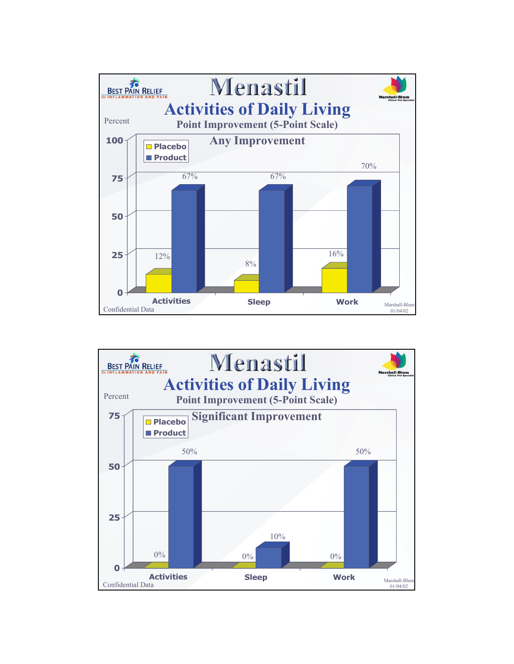

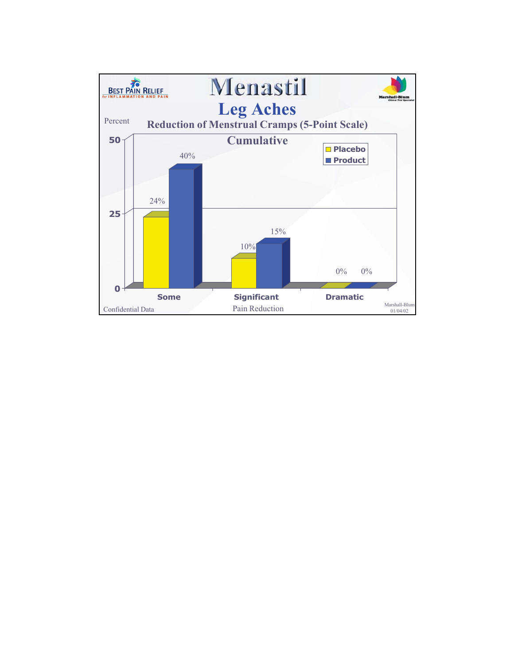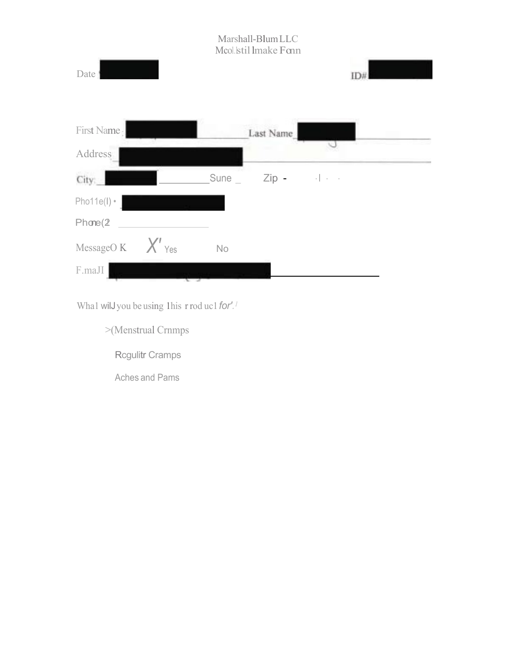

Wha1 wilJyou be using 1his r rod uc1*for'.<sup>1</sup>*

>(Menstrual Crnmps

Rcgulitr Cramps

Aches and Pams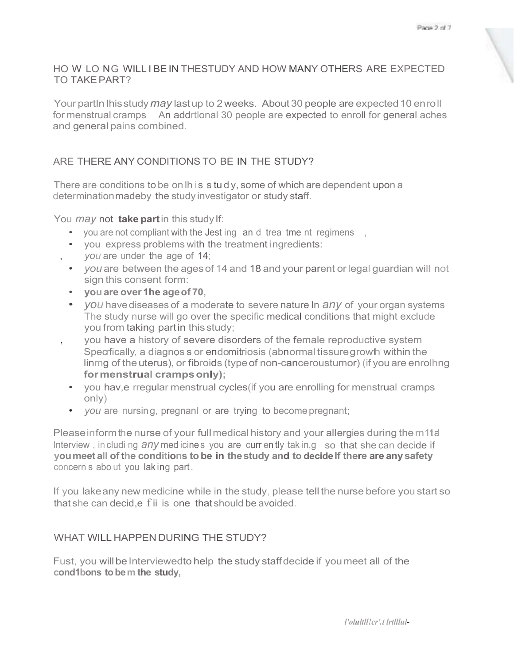#### HO W LO NG WILL I BE IN THESTUDY AND HOW MANY OTHERS ARE EXPECTED TO TAKEPART?

Your partIn lhis study *may* last up to 2 weeks. About 30 people are expected 10 enroll for menstrual cramps An addrtlonal 30 people are expected to enroll for general aches and general pains combined.

#### ARE THERE ANY CONDITIONS TO BE IN THE STUDY?

There are conditions to be on lh is s tu d y, some of which are dependent upon a determinationmadeby the study investigator or study staff.

You *may* not **take part**in this study If:

- you are not compliant with the Jest ing an d trea tme nt regimens,
- you express problems with the treatment ingredients:
- , *you* are under the age of 14;
- *you* are between the agesof 14 and 18 and your parent orlegal guardian will not sign this consent form:
- **you are over 1he ageof 70,**
- *you* havediseases of a moderate to severe nature In *any* of your organ systems The study nurse will go over the specific medical conditions that might exclude you from taking partin this study;
- , you have a history of severe disorders of the female reproductive system Specrfically, a diagnos s or endomitriosis (abnormal tissure growth within the linmg of the uterus), or fibroids (typeof non-canceroustumor) (if youare enrolhng **formenstrual crampsonly);**
	- you hav,e rregular menstrual cycles(if you are enrolling for menstrual cramps only)
	- *you* are nursing, pregnanl or are trying to become pregnant;

Please inform the nurse of your full medical history and your allergies during the m1tal Interview, in cluding  $\frac{any}{mod}$  cines you are currently takin, g so that she can decide if **youmeet all of the conditions to be in thestudy and to decideIf there are any safety** concern s abo ut you lak ing part.

If you lakeany new medicine while in the study, please tell the nurse before you start so that she can decid,e f ii is one that should be avoided.

#### WHAT WILL HAPPEN DURING THE STUDY?

Fust, you will be Interviewedto help the study staffdecide if you meet all of the **cond1bons tobem the study,**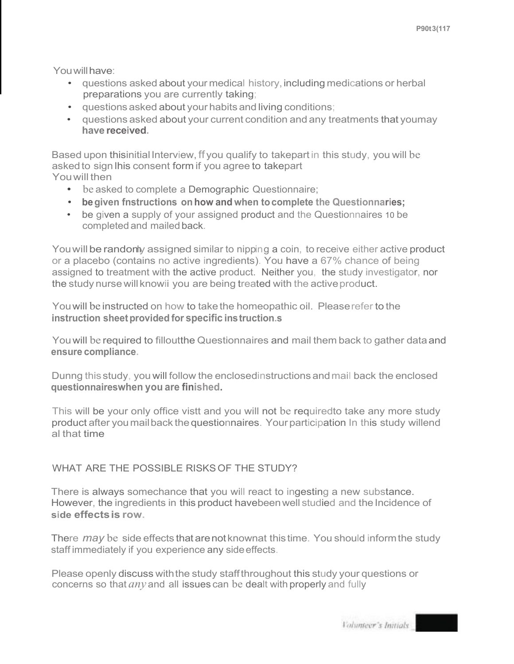You will have:

- questions asked about your medical history,including medications or herbal preparations you are currently taking;
- questions asked about your habits and living conditions;
- questions asked about your current condition and any treatments that youmay **have received.**

Based upon thisinitialInterview, ff you qualify to takepart in this study, you will be asked to sign lhis consent form if you agree to takepart Youwill then

- be asked to complete a Demographic Questionnaire;
- **begiven fnstructions on how and when tocomplete the Questionnaries;**
- be given a supply of your assigned product and the Questionnaires 10 be completed and mailed back.

You will be randonly assigned similar to nipping a coin, to receive either active product or a placebo (contains no active ingredients). You have a 67% chance of being assigned to treatment with the active product. Neither you, the study investigator, nor the study nurse will knowii you are being treated with the activeproduct.

Youwill be instructed on how to takethe homeopathic oil. Pleaserefer to the **instruction sheet provided for specific instruction.s** 

Youwill be required to filloutthe Questionnaires and mail them back to gather dataand **ensure compliance.**

Dunng this study, you will follow the enclosedinstructions andmail back the enclosed **questionnaireswhen you are finished.**

This will be your only office vistt and you will not be requiredto take any more study product after youmailback thequestionnaires. Your participation In this study willend al that time

#### WHAT ARE THE POSSIBLE RISKSOF THE STUDY?

There is always somechance that you will react to ingesting a new substance. However, the ingredients in this product havebeen well studied and the Incidence of **side effectsis row.**

There *may* be side effects that arenot knownat this time. You should informthe study staff immediately if you experience any side effects.

Please openly discuss withthe study staffthroughout this study your questions or concerns so that *any* and all issues can be dealt with properly and fully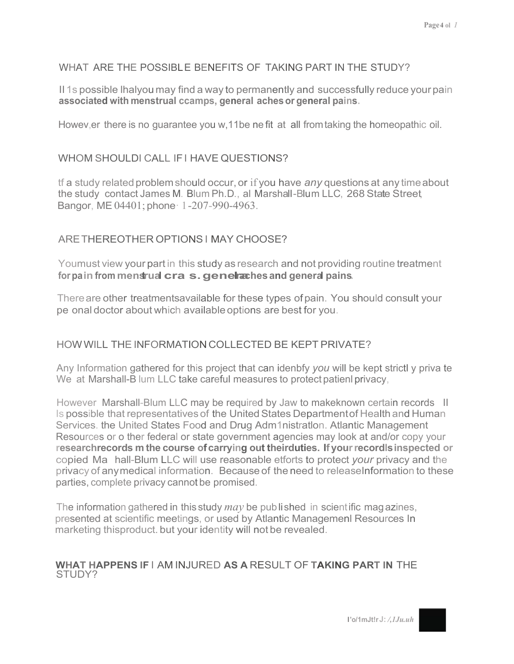#### WHAT ARE THE POSSIBLE BENEFITS OF TAKING PART IN THE STUDY?

II 1s possible lhalyou may find a way to permanently and successfully reduce your pain **associated with menstrual ccamps, general achesor general pains.**

Howev,er there is no guarantee you w,11be ne fit at all fromtaking the homeopathic oil.

#### WHOM SHOULDI CALL IF LHAVE QUESTIONS?

tf a study related problemshould occur, or if you have *any* questions at any timeabout the study contact James M. Blum Ph.D., al Marshall-Blum LLC, 268 State Street, Bangor, ME04401; phone· 1-207-990-4963.

#### ARETHEREOTHER OPTIONSI MAY CHOOSE?

Youmust view your part in this study as research and not providing routine treatment **forpain from menstrual cra s.genelraaches and general pains.**

Thereare other treatmentsavailable for these types ofpain. You should consult your pe onal doctor about which available options are best for you.

#### HOWWILL THE INFORMATION COLLECTED BE KEPT PRIVATE?

Any Information gathered for this project that can idenbfy *you* will be kept strictl y priva te We at Marshall-B lum LLC take careful measures to protect patienl privacy,

However Marshall-Blum LLC may be required by Jaw to makeknown certain records II Is possible that representatives of the United States Department of Health and Human Services. the United States Food and Drug Adm1nistratlon. Atlantic Management Resources or o ther federal or state government agencies may look at and/or copy your **researchrecords m the course ofcarrying out theirduties. If yourrecordIsinspected or** copied Ma hall-Blum LLC will use reasonable etforts to protect *your* privacy and the privacy of anymedical information. Because of the need to releaseInformation to these parties, complete privacy cannot be promised.

The information gathered in this study *may* be published in scientific magazines, presented at scientific meetings, or used by Atlantic Managemenl Resources In marketing thisproduct. but your identity will not be revealed.

#### **WHAT HAPPENS IF** I AM INJURED **AS A** RESULT OF **TAKING PART IN** THE STUDY?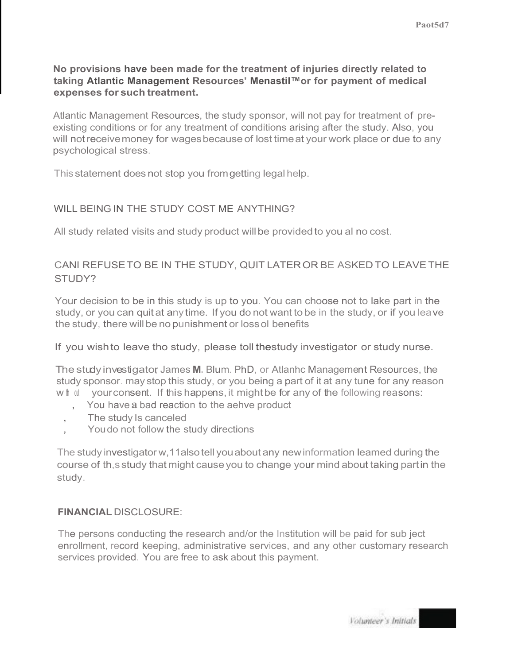#### **No provisions have been made for the treatment of injuries directly related to taking Atlantic Management Resources' Menastil™or for payment of medical expenses for such treatment.**

Atlantic Management Resources, the study sponsor, will not pay for treatment of preexisting conditions or for any treatment of conditions arising after the study. Also, you will notreceivemoney for wagesbecause of lost timeat your work place or due to any psychological stress.

This statement does not stop you fromgetting legalhelp.

#### WILL BEING IN THE STUDY COST ME ANYTHING?

All study related visits and study product willbe providedto you al no cost.

#### CANI REFUSETO BE IN THE STUDY, QUIT LATEROR BE ASKEDTO LEAVETHE STUDY?

Your decision to be in this study is up to you. You can choose not to lake part in the study, or you can quit at any time. If you do not want to be in the study, or if you leave the study, there will be no punishment or loss ol benefits

If you wishto leave tho study, please toll thestudy investigator or study nurse.

The studyinvestigator, James **M.** Blum. PhD, or Atlanhc Management Resources, the study sponsor. may stop this study, or you being a part of it at any tune for any reason wh at your consent. If this happens, it might be for any of the following reasons:

- , You have **a** bad reaction to the aehve product
- The study Is canceled
- You do not follow the study directions

The study investigator w,11alsotell youabout any newinformation leamed during the course of th,s study that might causeyou to change your mind about taking partin the study.

#### **FINANCIAL** DISCLOSURE:

The persons conducting the research and/or the Institution will be paid for sub ject enrollment, record keeping, administrative services, and any other customary research services provided. You are free to ask about this payment.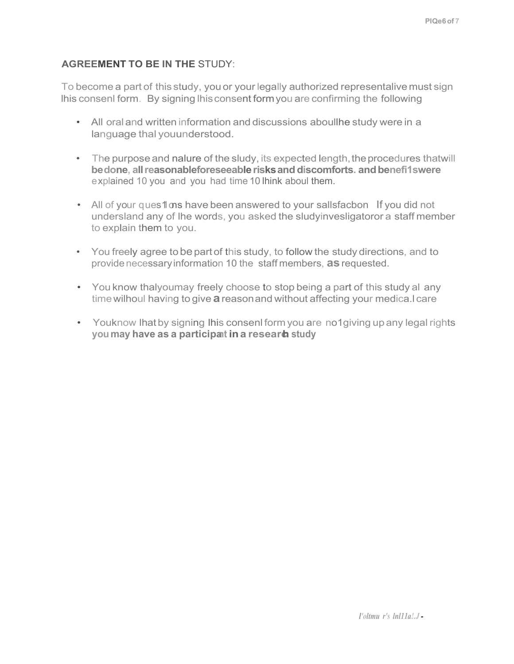#### **AGREEMENT TO BE IN THE** STUDY:

To become a part of this study, you or your legally authorized representalivemust sign lhis consenl form. By signing lhisconsent formyou are confirming the following

- All oral and written information and discussions aboullhe study were in a language thal youunderstood.
- The purpose and nalure of the sludy, its expected length, the procedures thatwill **bedone, allreasonableforeseeablerisksanddiscomforts. andbenefi1swere** explained 10 you and you had time 10 lhink aboul them.
- All of your ques 1 as have been answered to your sallsfacbon If you did not undersland any of lhe words, you asked the sludyinvesligatoror a staff member to explain them to you.
- You freely agree tobepart of this study, to follow the study directions, and to providenecessaryinformation 10 the staff members, **as**requested.
- You know thalyoumay freely choose to stop being a part of this study al any timewilhoul having to give **a**reasonand without affecting your medica.l care
- Youknow lhat by signing lhis consenl form you are no1giving up any legal rights **youmay have as a participant ina research study**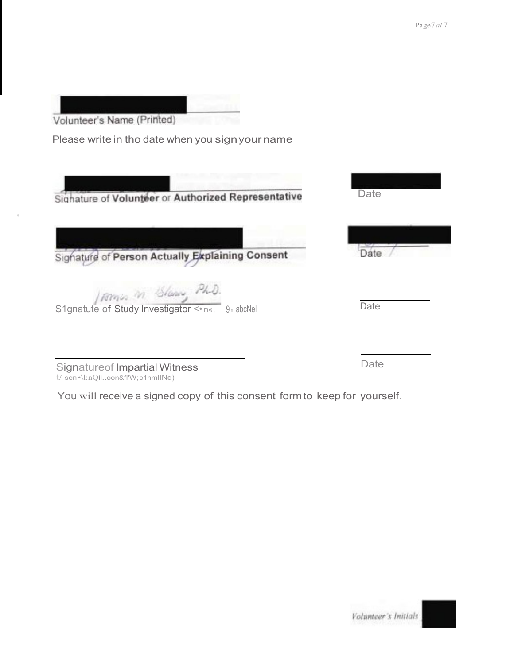| Volunteer's Name (Printed)                                                 |      |
|----------------------------------------------------------------------------|------|
| Please write in tho date when you sign your name                           |      |
| Signature of Volunteer or Authorized Representative                        | Date |
| Signature of Person Actually Explaining Consent                            | Date |
| Isomin in Glass, Ph.D.<br>S1gnatute of Study Investigator <* n«, 9n abcNel | Date |
| Signature of Impartial Witness<br>t/ sen •\l:nQiioon&fl'W;c1nmllNd)        | Date |

•

You will receive a signed copy of this consent form to keep for yourself.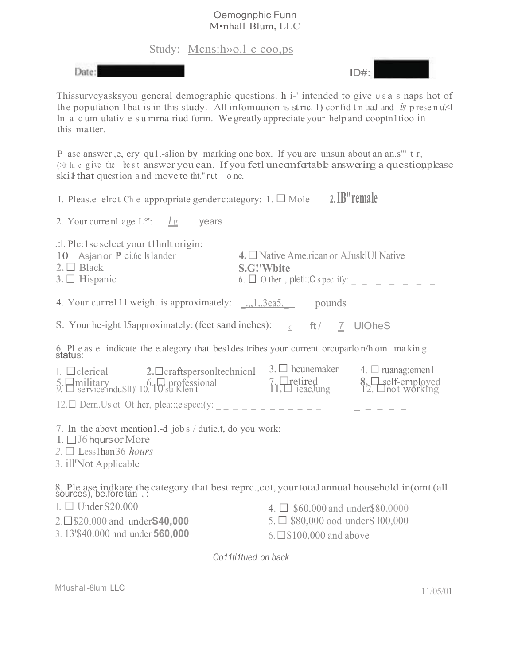#### Oemognphic Funn M•nhall-Blum, LLC

Study: Mcns:h»o.l c coo,ps

Date:



Thissurveyasksyou general demographic questions. h i-' intended to give u \$ a s naps hot of the popufation 1bat is in this study. All infomuuion is stric. 1) confid t n tiaJ and *is* p rese n u<sup> $\leq$ </sup> ln a c um ulativ e s u mrna riud form. We greatly appreciate your help and cooptn1tioo in this matter.

P ase answer, e, ery qu1.-slion by marking one box. If you are unsun about an an.s" t r, (>It lu c give the best answer you can. If you fetl uneomfortable answering a question please  $ski\frac{1}{2}$  that question and move to tht." nut one.

| I. Pleas.e elret Ch e appropriate gender c: ategory: $1. \Box$ Mole                                                                                    | 2. IB" remale                                                                                                                                             |
|--------------------------------------------------------------------------------------------------------------------------------------------------------|-----------------------------------------------------------------------------------------------------------------------------------------------------------|
| 2. Your curre nl age $L^{\circ}$ : $\frac{\log L}{\log L}$<br>years                                                                                    |                                                                                                                                                           |
| $\therefore$ l. Plc: 1 se select your t1 hnlt origin:<br>10 Asjan or P ci.6c Islander<br>$2. \Box$ Black<br>$3. \Box$ Hispanic                         | 4. $\Box$ Native Ame.rican or AJuskIUI Native<br><b>S.G!'Wbite</b><br>6. $\Box$ O ther, pletl:; C s pec ify: _ _ _ _ _ _ _ _                              |
| 4. Your curre111 weight is approximately: , 1, 3ea5, pounds                                                                                            |                                                                                                                                                           |
| S. Your he-ight 15approximately: (feet sand inches): $\frac{c}{c}$ ft/ $\frac{7}{2}$ UIOheS                                                            |                                                                                                                                                           |
|                                                                                                                                                        | 6. Pl e as e indicate the e alegory that bes1des.tribes your current orcuparlo n/h om making status:                                                      |
| $\Box$ elerical 2. $\Box$ eraftspersonItechnicn<br>$\frac{5}{9}$ . $\Box$ military $_{10}$ ( $\Box$ ) $_{10}$ or $\Box$ $_{10}$ su Klen t              | 3. $\Box$ hcunemaker 4. $\Box$ ruanag: emen!<br>$\left\{\sum_{n=1}^{\infty} \frac{1}{n} \text{erf-} \frac{1}{n} \right\}$<br>7. Pretired<br>11. PreacJung |
| 12. Dern. Us ot Ot hcr, plea::: e speci(y: _ _ _ _ _ _ _ _ _ _ _ _                                                                                     |                                                                                                                                                           |
| 7. In the abovt mention1.-d job s / dutie.t, do you work:<br>I. $\Box$ J6 hqurs or More<br>2. $\Box$ Less1han 36 <i>hours</i><br>3. ill'Not Applicable |                                                                                                                                                           |
|                                                                                                                                                        | 8. Ple.ase indkare the category that best reprc., cot, your totaJ annual household in(omt (all sources), be.fore tan,:                                    |
| $\Box$ Under S20.000<br>$2.\square$ \$20,000 and under <b>S40,000</b><br>3.13'\$40.000 nnd under 560,000                                               | 4. $\Box$ \$60.000 and under \$80,0000<br>$5. \Box$ \$80,000 ood under S100,000<br>$6. \Box$ \$100,000 and above                                          |
|                                                                                                                                                        | Co11ti1tued on back                                                                                                                                       |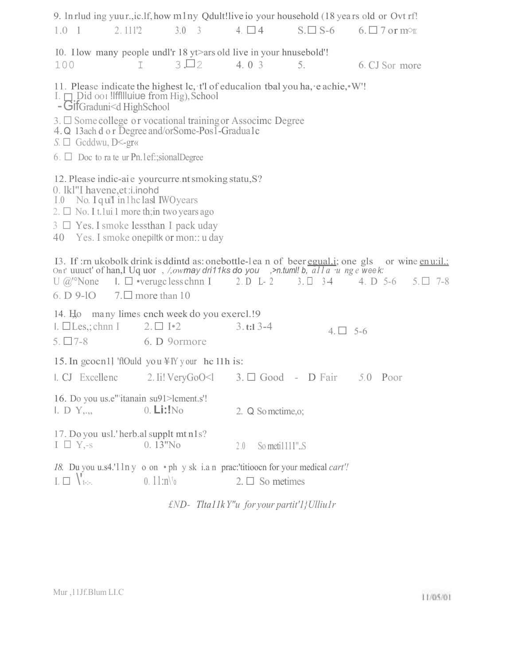| $1.0 \quad 1 \quad 2.1112$                                                                                                                                                                                                                             | 9. In rlud ing yuur., ic. If, how mlny Qdult! live io your household (18 years old or Ovt rf!                                                                                                          | 3.0 3 4. $\Box$ 4      |                          | $S. \Box S$ -6 6. $\Box$ 7 or m $\odot$ r.                                                                       |
|--------------------------------------------------------------------------------------------------------------------------------------------------------------------------------------------------------------------------------------------------------|--------------------------------------------------------------------------------------------------------------------------------------------------------------------------------------------------------|------------------------|--------------------------|------------------------------------------------------------------------------------------------------------------|
| 100                                                                                                                                                                                                                                                    | IO. I low many people undl'r 18 yt>ars old live in your hnusebold!<br>$3\Box 2$<br>$\mathbb{I}$                                                                                                        | 4.03                   | 5.                       | 6. CJ Sor more                                                                                                   |
| - GifGraduni <d highschool<br=""><math>S. \Box</math> Gcddwu, D&lt;-gr«<br/><math>6. \Box</math> Doc to ra te ur Pn.1ef:;sionalDegree</d>                                                                                                              | 11. Please indicate the highest lc, t'l of educalion tbal you ha, e achie, W'!<br>$3. \Box$ Some college or vocational training or Associme Degree<br>4. Q 13ach d o r Degree and/orSome-Pos1-Gradua1c |                        |                          |                                                                                                                  |
| 0. lkl"I havene, et: i. inohd<br>I.0 No. I qu'I in l hc lasl IWO years<br>2. $\Box$ No. I t.1 ui 1 more thin two years ago<br>$3 \Box$ Yes. I smoke lessthan I pack uday<br>40 Yes. I smoke onepiltk or mon:: u day<br>6. D 9-10 $7.\Box$ more than 10 | 12. Please indic-ai e your curre nt smoking statu, S?<br>Ont' uuuct' of han, I Uq uor, /,owmay dri11ks do you, >n.tum!! b, $a11a$ u ng e week:<br>$U$ @'None I. $\Box$ •veruge less chan I 2. D L-2    |                        | $3. \Box$ $3-4$ 4. D 5-6 | I3. If :rn ukobolk drink is ddintd as: one bottle-lean of beer equal i; one gls or wine enu:il.:<br>$5.\Box$ 7-8 |
| $I. \Box$ Les, ; chnn I<br>5. $\Box$ 7-8 6. D 9 ormore                                                                                                                                                                                                 | 14. Ho many limes cnch week do you exercl.! 9<br>$2. \Box \Box 2$                                                                                                                                      | $3. t: 13-4$           | $4. \Box 5-6$            |                                                                                                                  |
|                                                                                                                                                                                                                                                        | 15. In gcocn11 'ftOuld you $\angle$ IY your hc 11h is:<br>1. CJ Excellenc 2. Ii! $\text{VeryGoO} < 1 \quad 3. \Box$ Good - D Fair 5.0 Poor                                                             |                        |                          |                                                                                                                  |
| 16. Do you us.e"'itanain su91>lcment.s'!<br>I. D Y <sub>.,.</sub>                                                                                                                                                                                      | $0.$ Li: $!N0$                                                                                                                                                                                         | 2. Q So metime, o;     |                          |                                                                                                                  |
| 17. Do you usl.' herb.al supplt mt n1s?<br>$I \square Y_{\cdot^{-S}}$                                                                                                                                                                                  | $0.13"$ No                                                                                                                                                                                             | 2.0<br>So metil 111".S |                          |                                                                                                                  |
| $\mathbf{I} \Box \setminus \mathbf{t}$                                                                                                                                                                                                                 | 18. Du you u.s4.'11n y o on • ph y sk i.a n prac:'titioocn for your medical cart'!<br>$0.11:n$ <sup>1</sup>                                                                                            | $2. \Box$ So metimes   |                          |                                                                                                                  |

*£ND- Tlta11kY"u for your partit'1}Ulliu1r*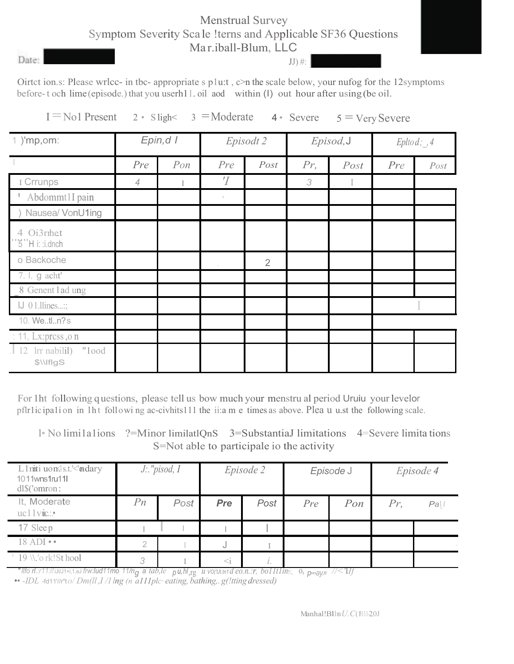#### Menstrual Survey Symptom Severity Sca le !terns and Applicable SF36 Questions Ma r.iball-Blum, LLC

Date:

 $JJ$ ) #:

Oirtct ion.s: Please wrlcc- in tbc- appropriate s p1u:t , c>n the scale below, your nufog for the 12symptoms before-t och lime(episode.)that you userh11. oil aod within (I) out hour after using (be oil.

|  |  |  |  | $I = \text{No1 Present } 2 \cdot \text{S}$ igh< 3 = Moderate 4 · Severe 5 = Very Severe |
|--|--|--|--|-----------------------------------------------------------------------------------------|
|--|--|--|--|-----------------------------------------------------------------------------------------|

| 1 )'mp,om:                                   | Epin, d I      |        |                | Episodt 2      |     | Episod, J |     | Epltod; , 4 |
|----------------------------------------------|----------------|--------|----------------|----------------|-----|-----------|-----|-------------|
|                                              | Pre            | $P$ on | Pre            | Post           | Pr, | Post      | Pre | Post        |
| I Crrunps                                    | $\overline{4}$ |        | $\overline{T}$ |                | 3   | I         |     |             |
| <sup><i>'</i></sup> Abdommt1I pain           |                |        | $\gamma$       |                |     |           |     |             |
| Nausea/ VonU1ing                             |                |        |                |                |     |           |     |             |
| 4 Oi3rmet<br>"5"H i: :i.dnch                 |                |        |                |                |     |           |     |             |
| o Backoche                                   |                |        |                | $\overline{2}$ |     |           |     |             |
| 7. l. g acht'                                |                |        |                |                |     |           |     |             |
| 8 Genent lad ung                             |                |        |                |                |     |           |     |             |
| $J$ 01.llines;                               |                |        |                |                |     |           |     |             |
| 10. Wetln?s                                  |                |        |                |                |     |           |     |             |
| : 11, Lx: press, $\circ$ n                   |                |        |                |                |     |           |     |             |
| $\vert$ 12 lm nabilil)<br>"lood<br>\$\\IflgS |                |        |                |                |     |           |     |             |

For 1ht following q uestions, please tell us bow much your menstru al period Uruiu your levelor pflr1ic ipa1i on in 1ht followi ng ac-civhits111 the ii:a m e times as above. Plea u u.st the following scale.

l• No limi1a1ions ?=Minor limilatlQnS 3=SubstantiaJ limitations 4=Severe limita tions S=Not able to participale io the activity

| L1miti uonsls.t.'<'mdary<br>1011wns1ru11l<br>$dl\$ ('omron: | $J$ : "pisod, $I$ |      | Episode 2 |      | Episode J |     | Episode 4 |                 |
|-------------------------------------------------------------|-------------------|------|-----------|------|-----------|-----|-----------|-----------------|
| It, Moderate<br>$uc11$ vic.:                                | Pn                | Post | Pre       | Post | Pre       | Pon | Pr        | Pa              |
| 17 Sleep                                                    |                   |      |           |      |           |     |           |                 |
| $18$ ADI $\cdot\cdot$                                       | $\overline{2}$    |      | J.        |      |           |     |           | $\sim$ 1 $\sim$ |
| $\perp$ 19 \\.'o rk!St hool                                 | 3                 |      | $\leq i$  |      |           |     |           |                 |

"Ilfo rl.:r11:i!iJtJ1+i,1,eJ frw:lud11mo 11/n<sub>g</sub> a tab,le pu,hl<sub>,rg</sub> u vo(uttn1d e0.n.:r, bolltliny, 0, p<sub>maVn</sub> //<'llf

•• *-IDL* -fd11'//r"t*o/ Dm(ll ,l /1 lng (n a111plc*· *eating, bathing,.g(!tting dressed)*